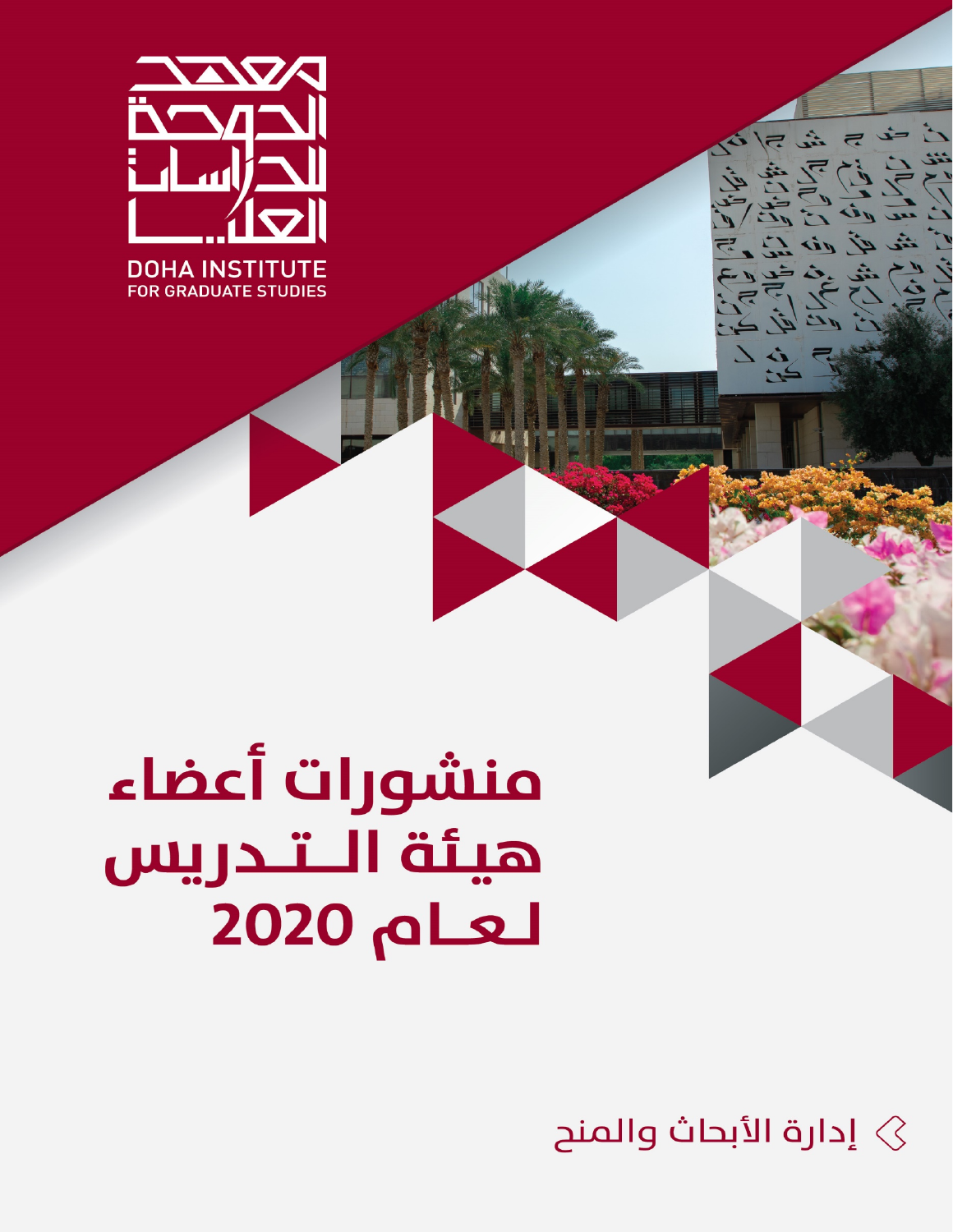

# منشورات أعضاء هيئة الـتـدريس لعام 2020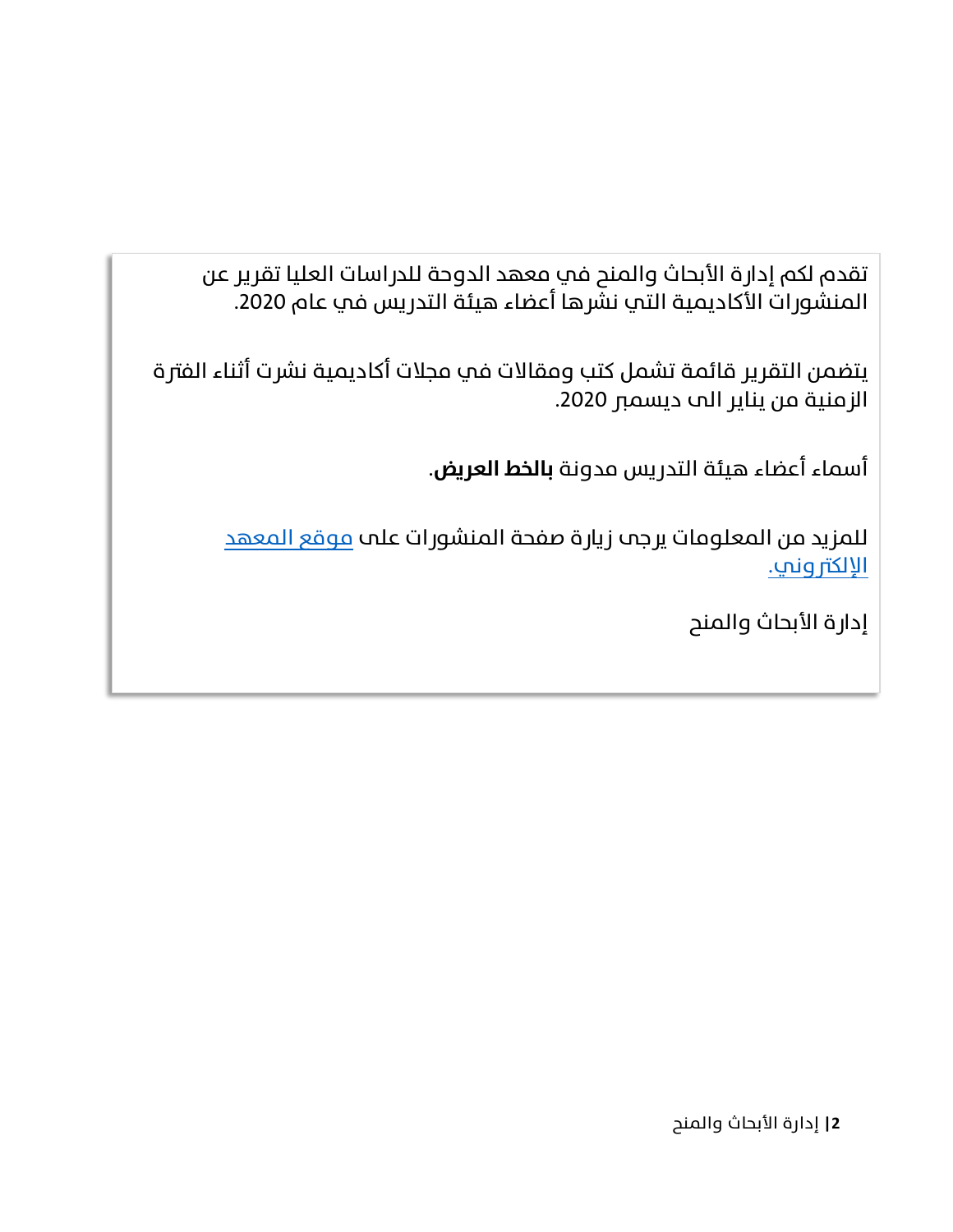تقدم لكم إدارة الأبحاث والمنح في معهد الدوحة للدراسات العليا تقرير عن المنشورات الأكاديمية التي نشّرها أعضاء هيئة التدريس في عام 2020.

يتضمن التقرير قائمة تشمل كتب ومقالات في مجلات أكاديمية نشرت أثناء الفترة الزمنية من يناير الى ديسمبر .2020

أسماء أعضاء هيئة التدر�س مدونة **بالخط العر�ض**.

للمزيد من المعلومات يرجه زيارة صفحة المنشورات عله <u>موقع المعهد</u> [الإلكتروني.](https://www.dohainstitute.edu.qa/AR/research/fr/pages/publications.aspx)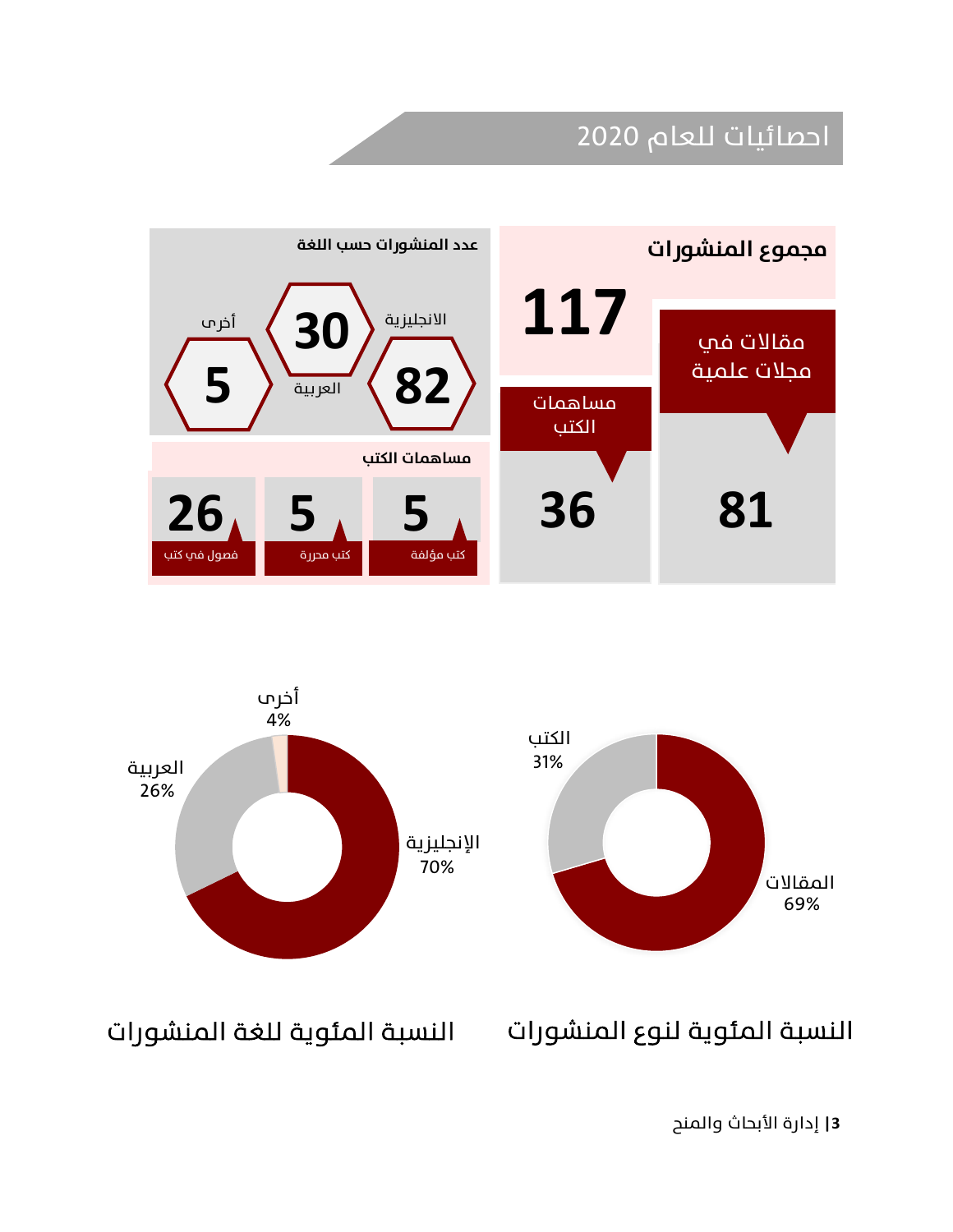### احصائيات للعام 2020





النسبة المئوية لنوع المنشورات النسبة المئوية للغة المنشورات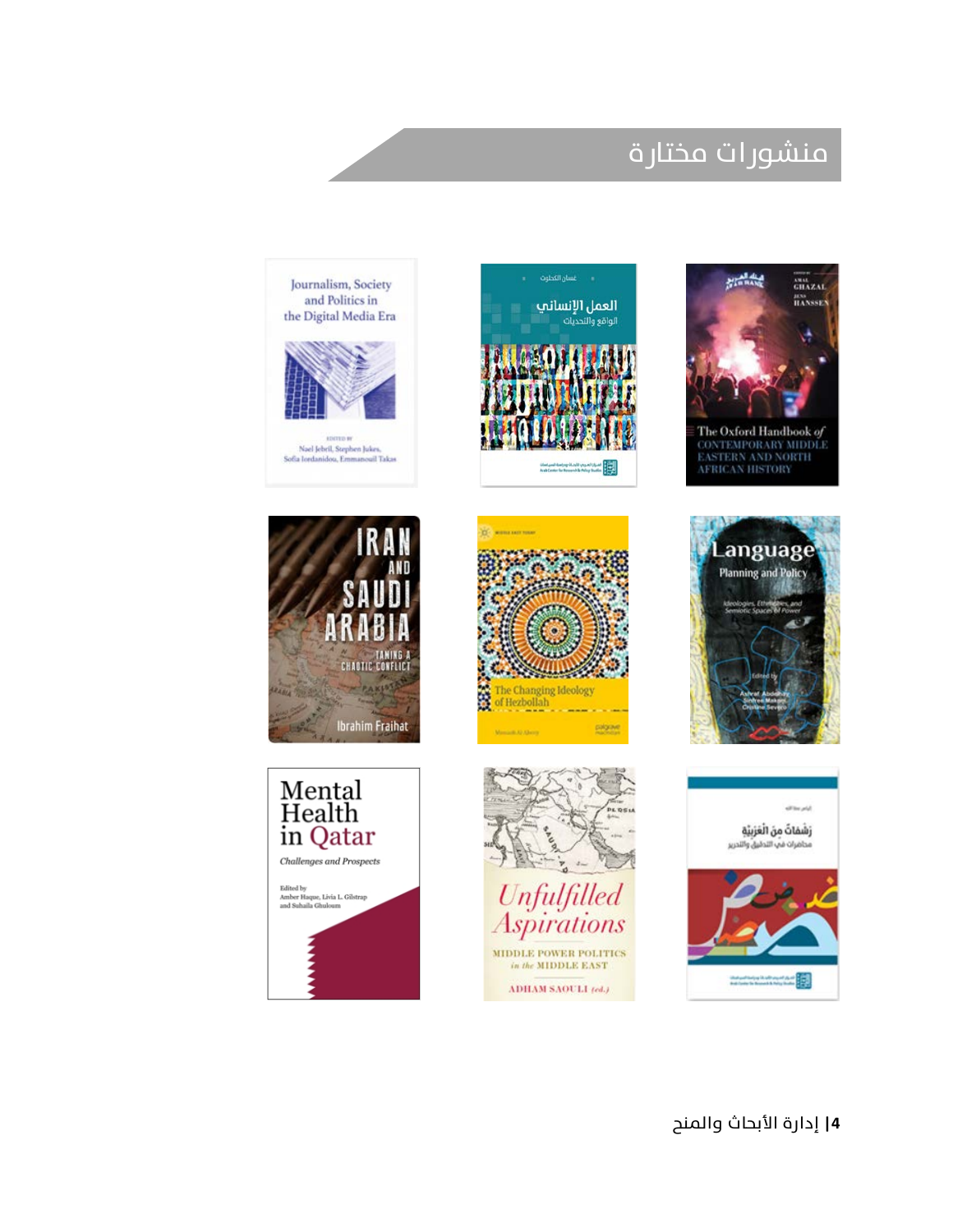### منشورات مختارة



![](_page_3_Picture_2.jpeg)

![](_page_3_Picture_3.jpeg)

![](_page_3_Picture_4.jpeg)

![](_page_3_Picture_5.jpeg)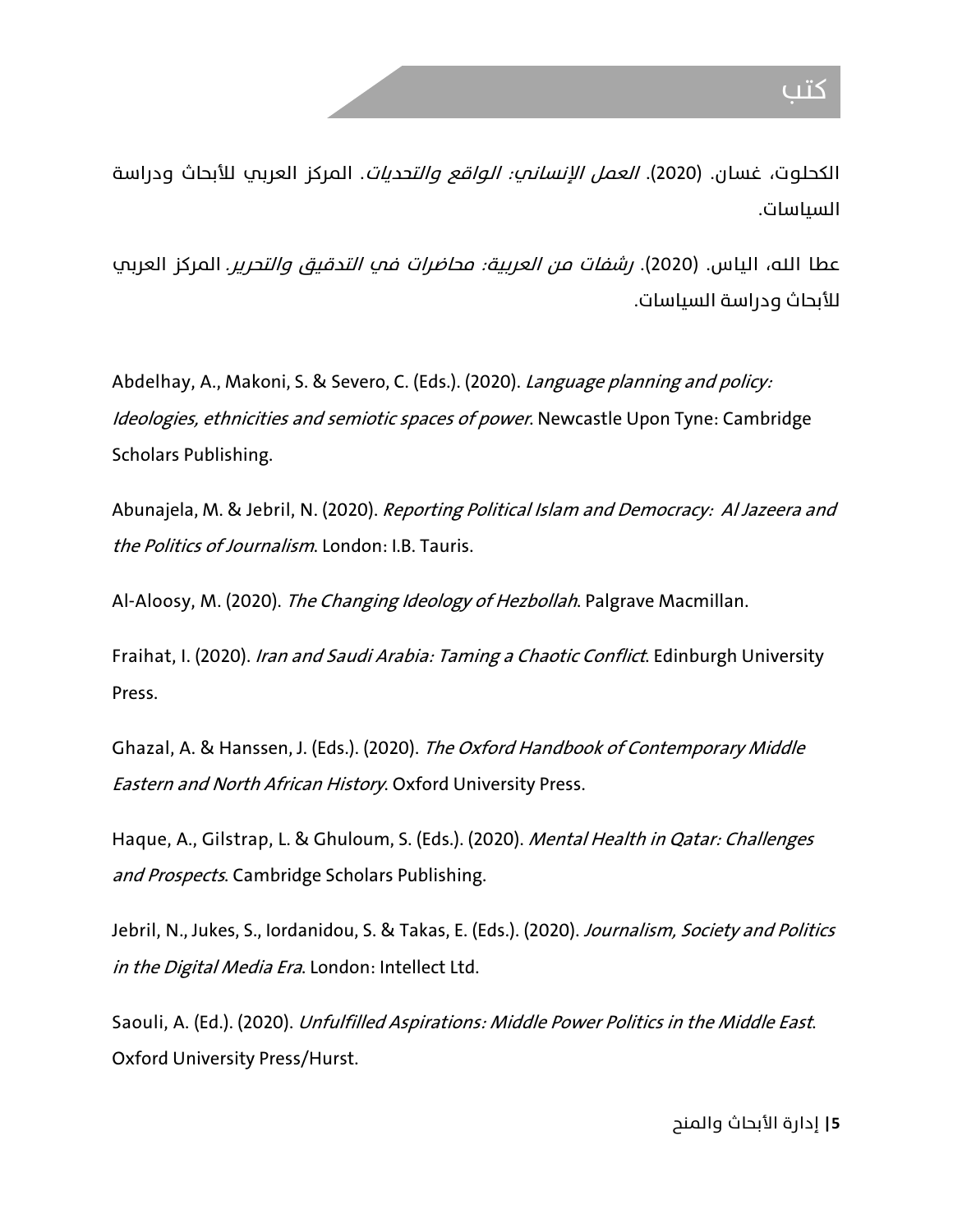الكحلوت، غسان. (2020). *العمل الإنساني: الواقع والتحديات*. المركز العربي للأبحاث ودراسة السياسات.

عطا الله، الياس. (2020). *رشفات من العربية: محاضرات في التدقيق والتحرير.* المركز العربي للأبحاث ودراسة السياسات.

Abdelhay, A., Makoni, S. & Severo, C. (Eds.). (2020). Language planning and policy: Ideologies, ethnicities and semiotic spaces of power. Newcastle Upon Tyne: Cambridge Scholars Publishing.

Abunajela, M. & Jebril, N. (2020). Reporting Political Islam and Democracy: Al Jazeera and the Politics of Journalism. London: I.B. Tauris.

Al-Aloosy, M. (2020). The Changing Ideology of Hezbollah. Palgrave Macmillan.

Fraihat, I. (2020). Iran and Saudi Arabia: Taming a Chaotic Conflict. Edinburgh University Press.

Ghazal, A. & Hanssen, J. (Eds.). (2020). The Oxford Handbook of Contemporary Middle Eastern and North African History. Oxford University Press.

Haque, A., Gilstrap, L. & Ghuloum, S. (Eds.). (2020). Mental Health in Qatar: Challenges and Prospects. Cambridge Scholars Publishing.

Jebril, N., Jukes, S., Iordanidou, S. & Takas, E. (Eds.). (2020). Journalism, Society and Politics in the Digital Media Era. London: Intellect Ltd.

Saouli, A. (Ed.). (2020). *Unfulfilled Aspirations: Middle Power Politics in the Middle East.* Oxford University Press/Hurst.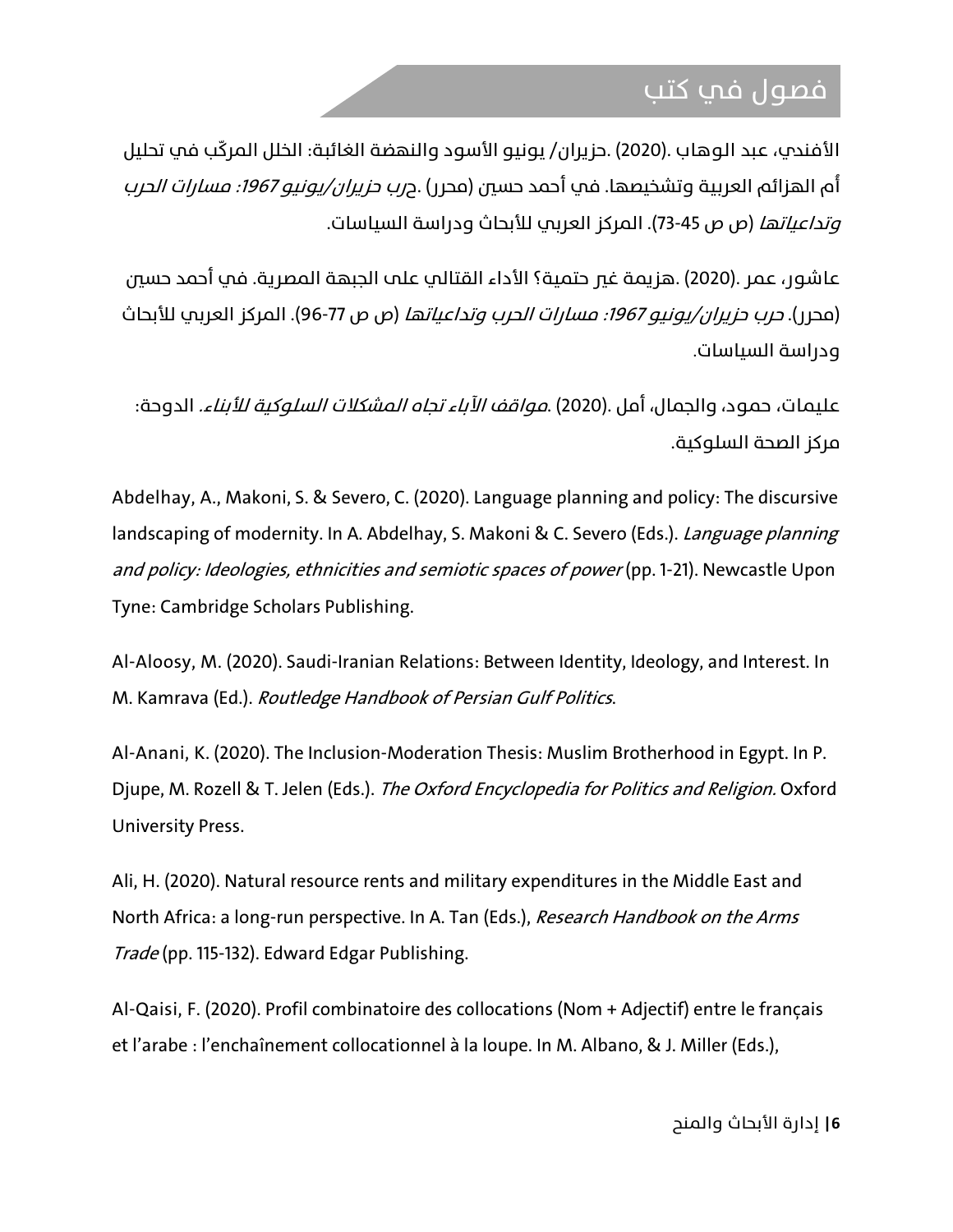#### فصول في كتب

الأفندي، عبد الوهاب .(2020) .حزيران/ يونيو الأسود والنهضة الغائبة: الخلل المركّب في تحليل أه الهزائم العربية وتشخيصها. في أحمد حسين (محرر) .ح*رب حزيران/يونيو 1967: مسارات الحرب* وتداعياتها (ص ص 73-45). المركز العر�ي للأبحاث ودراسة السياسات.

عاشور، عمر .(2020) .هزيمة غير حتمية؟ الأداء القتالي على الجبهة المصرية. في أحمد حسىَ (محرر). *حرب حزيران/يونيو 1967: مسارات الحرب وتداعياتها* (ص ص 77-96). المركز العربي للأبحاث ودراسة السياسات.

عليمات، حمود، والجمال، أمل .(2020) .مواقف الآباء تجاه المشكلات السلوكية للأبناء. الدوحة: مركز الصحة السلوكية.

Abdelhay, A., Makoni, S. & Severo, C. (2020). Language planning and policy: The discursive landscaping of modernity. In A. Abdelhay, S. Makoni & C. Severo (Eds.). Language planning and policy: Ideologies, ethnicities and semiotic spaces of power (pp. 1-21). Newcastle Upon Tyne: Cambridge Scholars Publishing.

Al-Aloosy, M. (2020). Saudi-Iranian Relations: Between Identity, Ideology, and Interest. In M. Kamrava (Ed.). Routledge Handbook of Persian Gulf Politics.

Al-Anani, K. (2020). The Inclusion-Moderation Thesis: Muslim Brotherhood in Egypt. In P. Djupe, M. Rozell & T. Jelen (Eds.). The Oxford Encyclopedia for Politics and Religion. Oxford University Press.

Ali, H. (2020). Natural resource rents and military expenditures in the Middle East and North Africa: a long-run perspective. In A. Tan (Eds.), Research Handbook on the Arms Trade (pp. 115-132). Edward Edgar Publishing.

Al-Qaisi, F. (2020). Profil combinatoire des collocations (Nom + Adjectif) entre le français et l'arabe : l'enchaînement collocationnel à la loupe. In M. Albano, & J. Miller (Eds.),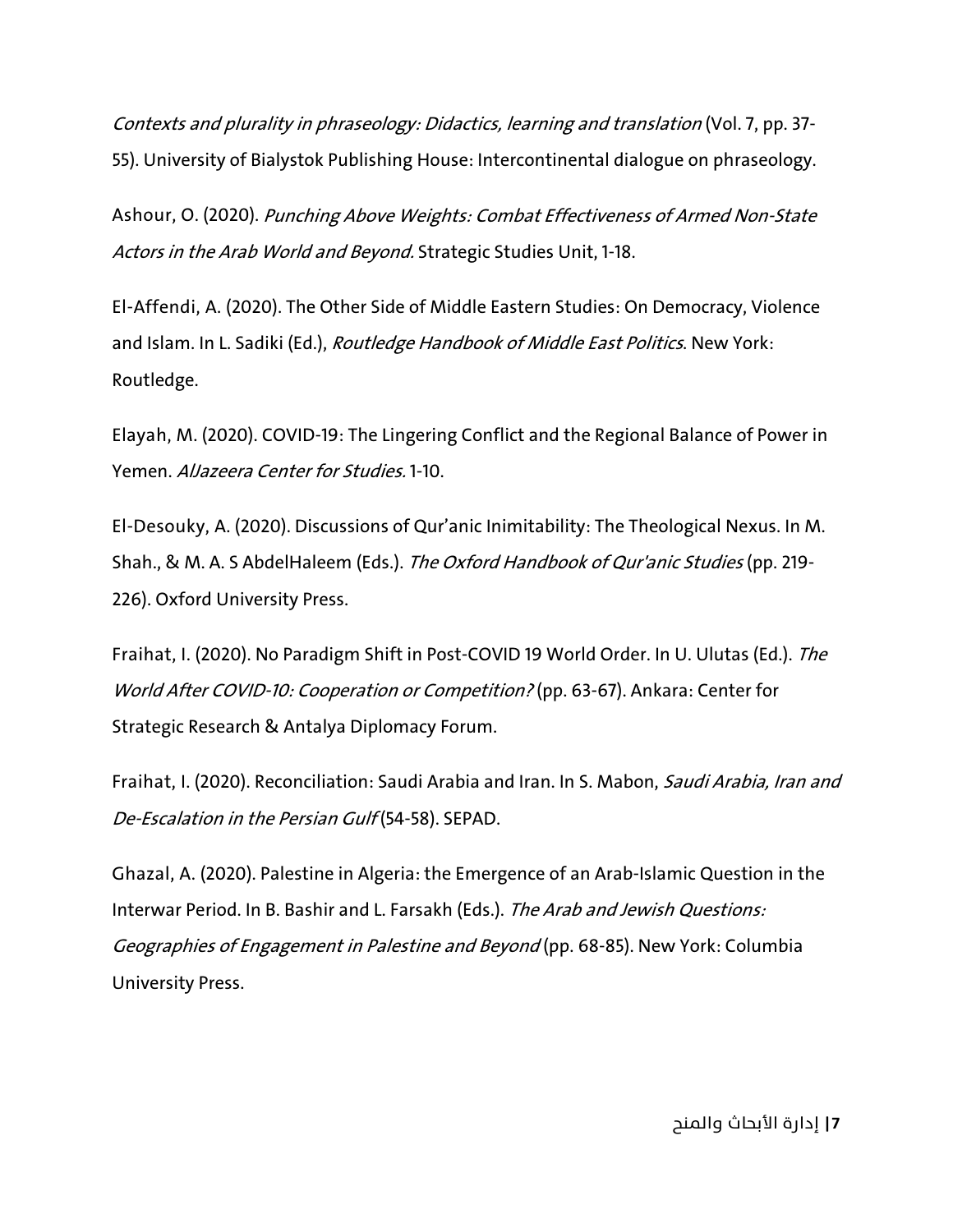Contexts and plurality in phraseology: Didactics, learning and translation (Vol. 7, pp. 37- 55). University of Bialystok Publishing House: Intercontinental dialogue on phraseology.

Ashour, O. (2020). Punching Above Weights: Combat Effectiveness of Armed Non-State Actors in the Arab World and Beyond. Strategic Studies Unit, 1-18.

El-Affendi, A. (2020). The Other Side of Middle Eastern Studies: On Democracy, Violence and Islam. In L. Sadiki (Ed.), Routledge Handbook of Middle East Politics. New York: Routledge.

Elayah, M. (2020). COVID-19: The Lingering Conflict and the Regional Balance of Power in Yemen. AlJazeera Center for Studies. 1-10.

El-Desouky, A. (2020). Discussions of Qur'anic Inimitability: The Theological Nexus. In M. Shah., & M. A. S AbdelHaleem (Eds.). The Oxford Handbook of Qur'anic Studies (pp. 219-226). Oxford University Press.

Fraihat, I. (2020). No Paradigm Shift in Post-COVID 19 World Order. In U. Ulutas (Ed.). The World After COVID-10: Cooperation or Competition? (pp. 63-67). Ankara: Center for Strategic Research & Antalya Diplomacy Forum.

Fraihat, I. (2020). Reconciliation: Saudi Arabia and Iran. In S. Mabon, Saudi Arabia, Iran and De-Escalation in the Persian Gulf (54-58). SEPAD.

Ghazal, A. (2020). Palestine in Algeria: the Emergence of an Arab-Islamic Question in the Interwar Period. In B. Bashir and L. Farsakh (Eds.). The Arab and Jewish Questions: Geographies of Engagement in Palestine and Beyond (pp. 68-85). New York: Columbia University Press.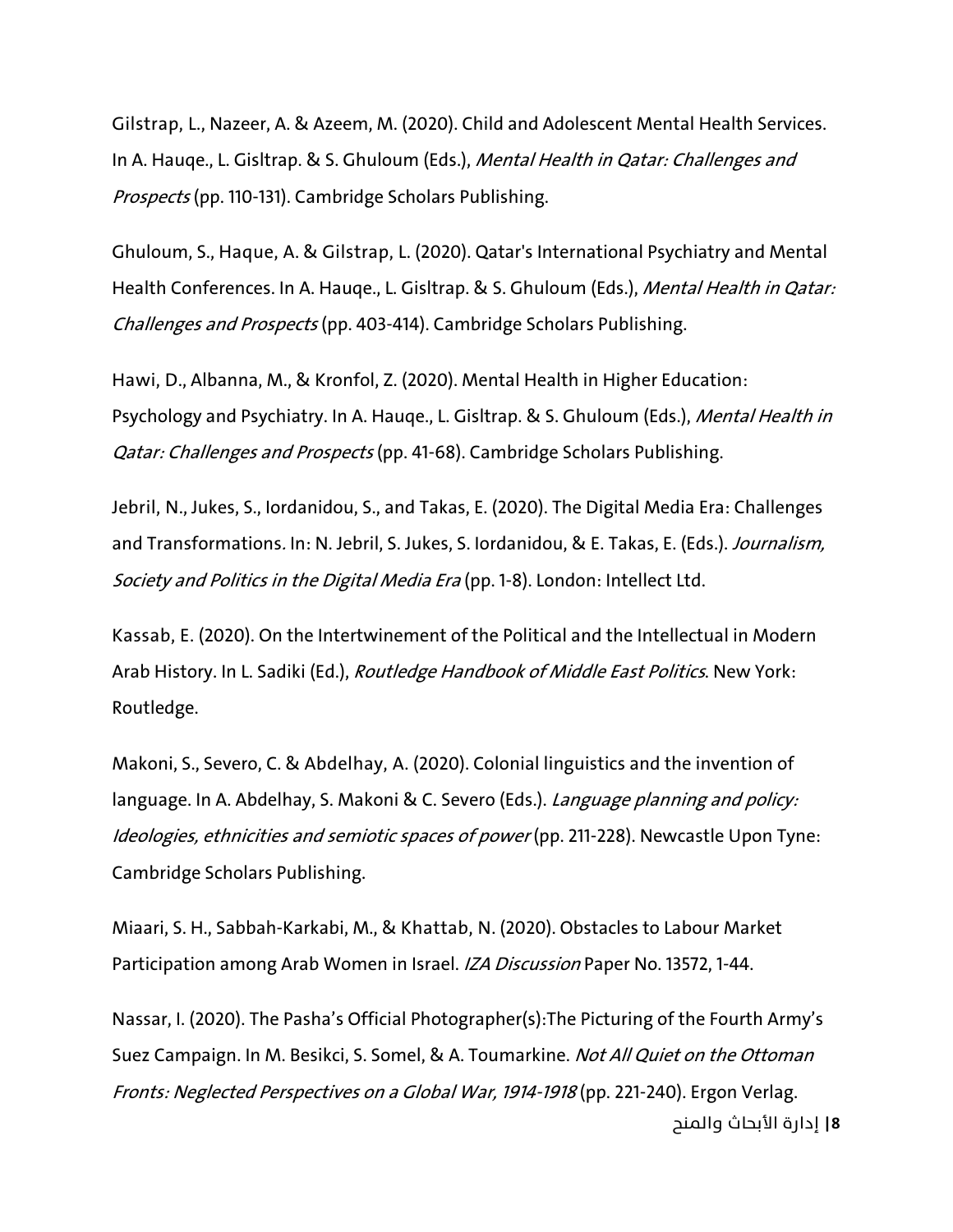Gilstrap, L., Nazeer, A. & Azeem, M. (2020). Child and Adolescent Mental Health Services. In A. Hauge., L. Gisltrap. & S. Ghuloum (Eds.), Mental Health in Qatar: Challenges and Prospects (pp. 110-131). Cambridge Scholars Publishing.

Ghuloum, S., Haque, A. & Gilstrap, L. (2020). Qatar's International Psychiatry and Mental Health Conferences. In A. Hauqe., L. Gisltrap. & S. Ghuloum (Eds.), Mental Health in Qatar: Challenges and Prospects (pp. 403-414). Cambridge Scholars Publishing.

Hawi, D., Albanna, M., & Kronfol, Z. (2020). Mental Health in Higher Education: Psychology and Psychiatry. In A. Hauge., L. Gisltrap. & S. Ghuloum (Eds.), Mental Health in Qatar: Challenges and Prospects (pp. 41-68). Cambridge Scholars Publishing.

Jebril, N., Jukes, S., Iordanidou, S., and Takas, E. (2020). The Digital Media Era: Challenges and Transformations. In: N. Jebril, S. Jukes, S. Iordanidou, & E. Takas, E. (Eds.). Journalism, Society and Politics in the Digital Media Era (pp. 1-8). London: Intellect Ltd.

Kassab, E. (2020). On the Intertwinement of the Political and the Intellectual in Modern Arab History. In L. Sadiki (Ed.), *Routledge Handbook of Middle East Politics*. New York: Routledge.

Makoni, S., Severo, C. & Abdelhay, A. (2020). Colonial linguistics and the invention of language. In A. Abdelhay, S. Makoni & C. Severo (Eds.). Language planning and policy: Ideologies, ethnicities and semiotic spaces of power (pp. 211-228). Newcastle Upon Tyne: Cambridge Scholars Publishing.

Miaari, S. H., Sabbah-Karkabi, M., & Khattab, N. (2020). Obstacles to Labour Market Participation among Arab Women in Israel. IZA Discussion Paper No. 13572, 1-44.

**8|** إدارة الأبحاث والمنح Nassar, I. (2020). The Pasha's Official Photographer(s):The Picturing of the Fourth Army's Suez Campaign. In M. Besikci, S. Somel, & A. Toumarkine. Not All Quiet on the Ottoman Fronts: Neglected Perspectives on a Global War, 1914-1918 (pp. 221-240). Ergon Verlag.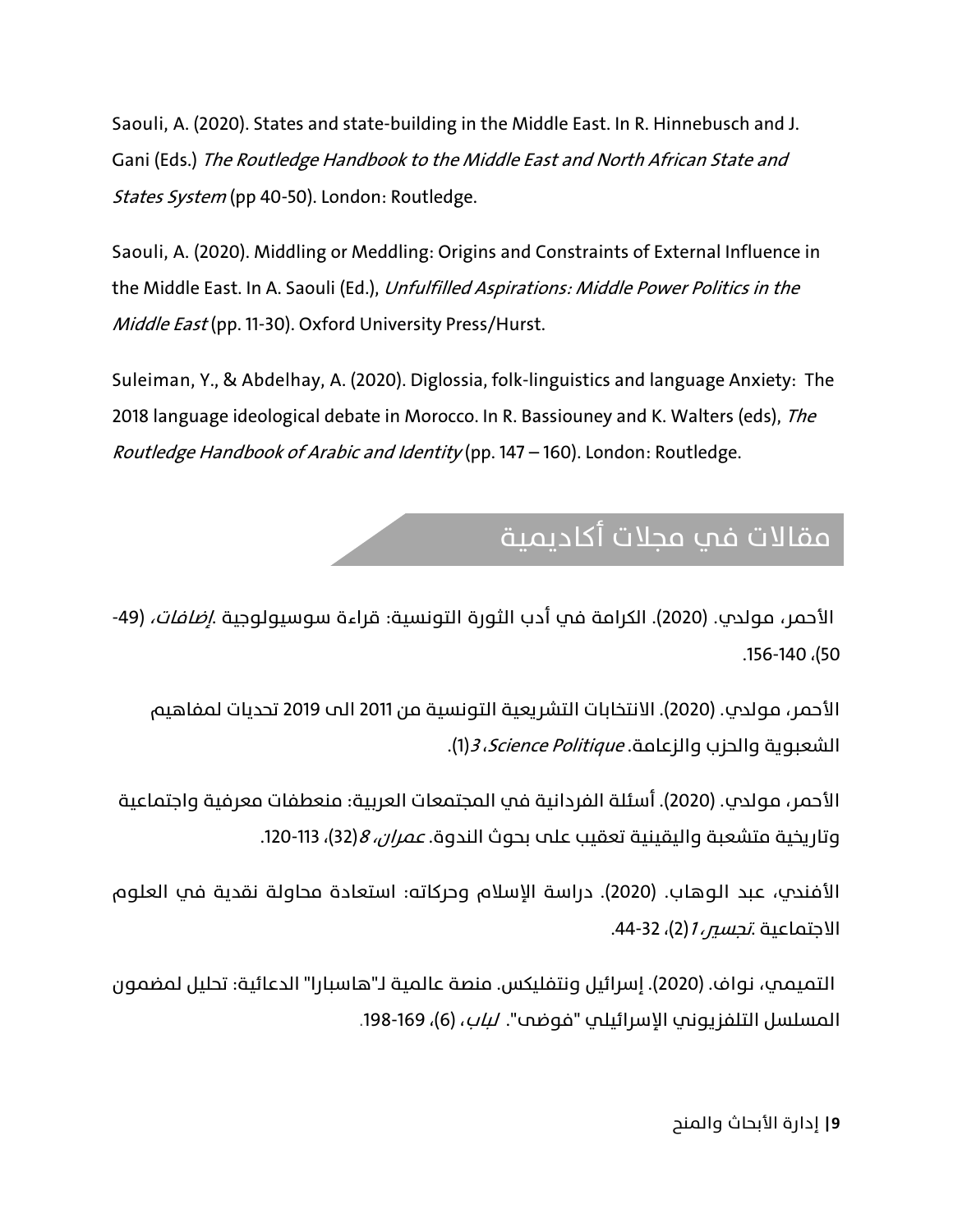Saouli, A. (2020). States and state-building in the Middle East. In R. Hinnebusch and J. Gani (Eds.) The Routledge Handbook to the Middle East and North African State and States System (pp 40-50). London: Routledge.

Saouli, A. (2020). Middling or Meddling: Origins and Constraints of External Influence in the Middle East. In A. Saouli (Ed.), Unfulfilled Aspirations: Middle Power Politics in the Middle East (pp. 11-30). Oxford University Press/Hurst.

Suleiman, Y., & Abdelhay, A. (2020). Diglossia, folk-linguistics and language Anxiety: The 2018 language ideological debate in Morocco. In R. Bassiouney and K. Walters (eds), The Routledge Handbook of Arabic and Identity (pp. 147 – 160). London: Routledge.

## مقالات في مجلات أكاديمية

الأحمر، مولدي. (2020). الكرامة في أدب الثورة التونسية: قراءة سوسيولوجية .*إضافات،* (49-.156-140 ،(50

الأحمر، مولدب. (2020). الانتخابات التشريعية التونسية من 2011 الى 2019 تحديات لمفاهيم الشعبوية والحزب والزعامة. *Science Politique، 3)*1(1).

الأحمر، مولدي. (2020). أسئلة الفردانية في المجتمعات العربية: منعطفات معرفية واجتماعية وتاريخية متشعبة واليقينية تعقيب علم بحوث الندوة. *عمران، 8*(32)، 113-120.

الأفندي، عبد الوهاب. (2020). دراسة الإسلام وحركاته: استعادة محاولة نقدية في العلوم الاجتماعية .*تجسس 1*(2)، 32-44.

 التميمي، نواف. (2020). إسرائيل ونتفليكس. منصة عالمية لـ"هاسبارا" الدعائية: تحليل لمضمون المسلسل التلفزيوني الإسرائيلي "فوضي". *لباب*، (6)، 169-198.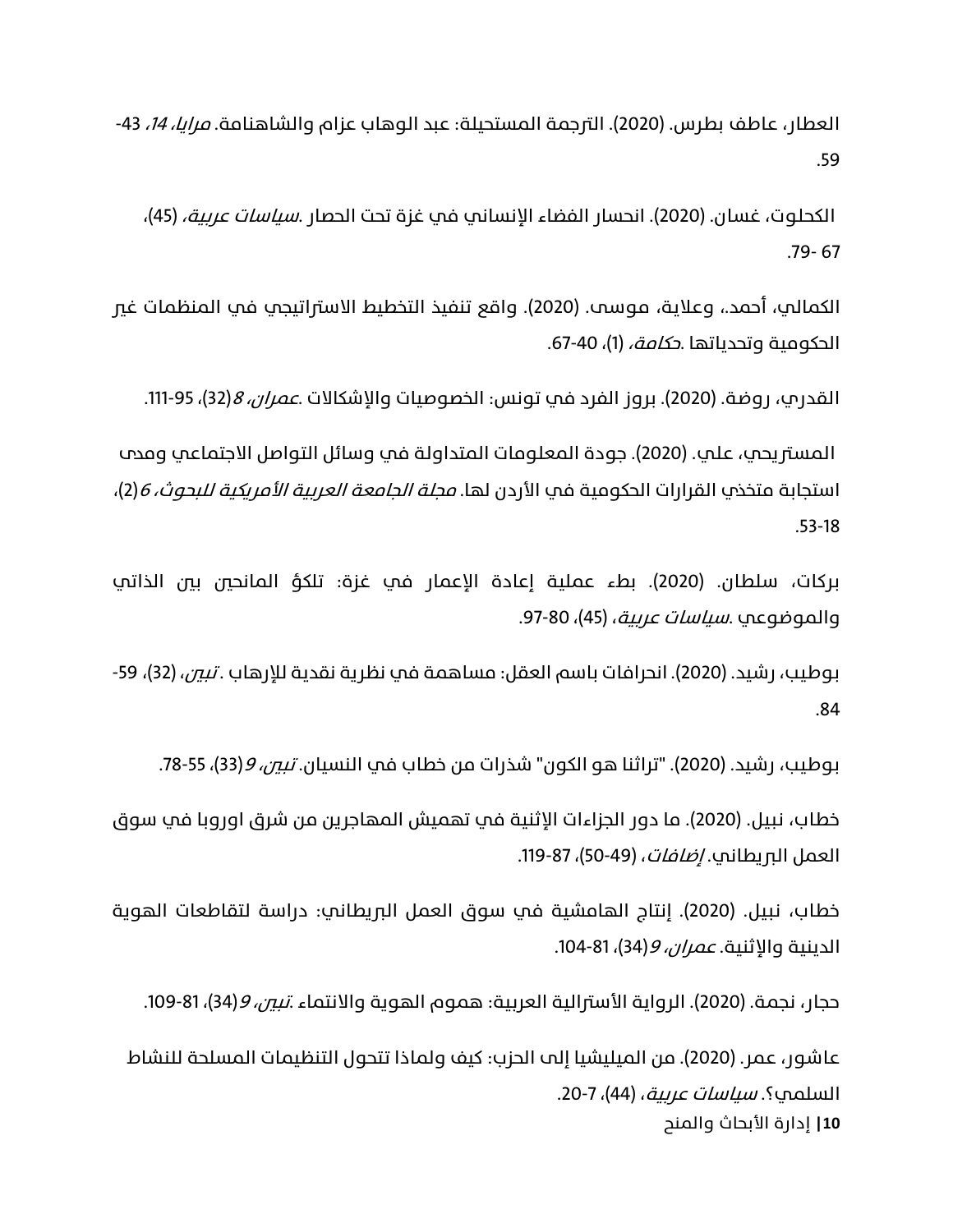العطار، عاطف بطرس. (2020). الترجمة المستحيلة: عبد الوهاب عزام والشاهنامة. *مرايا، 14*، 43-.59

الكحلوت، غسان. (2020). انحسار الفضاء الإنساني في غزة تحت الحصار .*سياسات عربية،* (45)، .79- 67

الكمالي، أحمد،. وعلاية، موسى. (2020). واقع تنفيذ التخطيط الاستراتيجي في المنظمات غير الحكومية وتحدياتها .*حكامة،* (1)، 40-67.

القدري، روضة. (2020). بروز الفرد في تونس: الخصوصيات والإشكالات .*عمران، 8*(32)، 95-111.

المستريحي، علي. (2020). جودة المعلومات المتداولة في وسائل التواصل الاجتماعي ومدب استجابة متخذڢ القرارات الحكومية في الأردن لها. *مجلة الجامعة العربية الأمريكية للبحوث، 6*(2)، .53-18

بركات، سلطان. (2020). بطء عملية إعادة الإعمار في غزة: تلكؤ المانحين بين الذاتي والموضوعي .*سياسات عربية*، (45)، 80-97.

بوطيب، رشيد. (2020). انحرافات باسم العقل: مساهمة في نظرية نقدية للإرهاب . *تبين*، (32)، 59-.84

بوطيب، رشيد. (2020). "تراثنا هو الكون" شذرات من خطاب في النسيان. *تبين، 9*(33)، 55-78.

خطاب، نبيل. (2020). ما دور الجزاءات الإثنية في تهميش المهاجرين من شرق اوروبا في سوق العمل ال<u>م ي</u>طاني. *إضافات*، (49-50)، 87-119.

خطاب، نبيل. (2020). إنتاج الهامشية في سوق العمل البريطاني: دراسة لتقاطعات الهوية الدينية والإثنية. *عمران، 9*(34)، 81-104.

حجار، نجمة. (2020). الرواية الأسترالية العربية: هموم الهوية والانتماء .*تبين، 9*(34)، 81-109.

**10|** إدارة الأبحاث والمنح عاشور، عمر. (2020). من الميليشيا إلى الحزب: كيف ولماذا تتتحول التنظيمات المسلحة للنشاط السلمي؟. *سياسات عربية*، (44)، 7-20.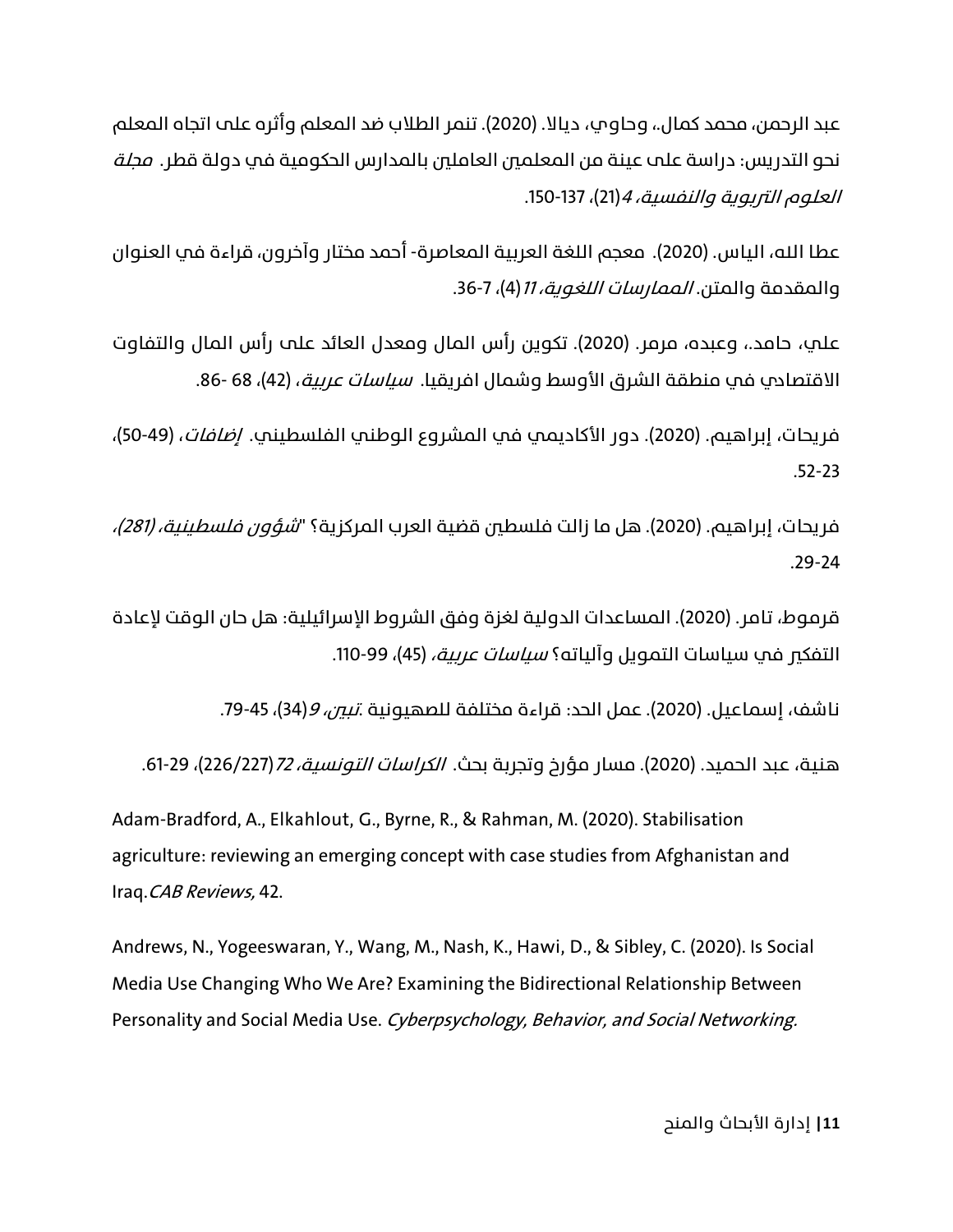عبد الرحمن، محمد كمال.، وحاوي، ديالا. (2020). تنمر الطلاب ضد المعلم وأثره على اتجاه المعلم نحو التدر�س: دراسة على عينة من المعلمين العاملين بالمدارس الحكومية في دولة قطر. مجلة العلوم التربوية والنفسية، 4(21)، 137-150.

عطا الله، الياس. (2020). معجم اللغة العربية المعاصرة- أحمد مختار وآخرون، قراءة في العنوان والمقدمة والمتن. *الممارسات اللغوية، 11*(4)، 7-36.

علي، حامد،، وعبده، مرمر. (2020). تكوين رأس المال ومعدل العائد على رأس المال والتفاوت الاقتصادي في منطقة الشرق الأوسط وشمال افريقيا. *سياسات عربية*، (42)، 68 -86.

فريحات، إبراهيم. (2020). دور الأكاديمي في المشروع الوطني الفلسطيني. *إضافات*، (49-50)، .52-23

فريحات، إبراهيم. (2020). هل ما زالت فلسطين قضية العرب المركزية؟ "*شؤون فلسطينية، (281)،* .29-24

قرموط، تامر. (2020). المساعدات الدولية لغزة وفق الشروط الإسرائيلية: هل حان الوقت لإعادة التفكي في سياسات التمويل وآلياته؟ *سياسات عربية،* (45)، 99-110.

ناشف، إسماعيل. (2020). عمل الحد: قراءة مختلفة للصهيونية .*تبح، 9*(34)، 45-79.

هنية، عبد الحميد. (2020). مسار مؤرخ وتجربة بحث. *الكراسات التونسية، 72 (*226/227)، 10-61.

Adam-Bradford, A., Elkahlout, G., Byrne, R., & Rahman, M. (2020). Stabilisation agriculture: reviewing an emerging concept with case studies from Afghanistan and Iraq.CAB Reviews, 42.

Andrews, N., Yogeeswaran, Y., Wang, M., Nash, K., Hawi, D., & Sibley, C. (2020). Is Social Media Use Changing Who We Are? Examining the Bidirectional Relationship Between Personality and Social Media Use. Cyberpsychology, Behavior, and Social Networking.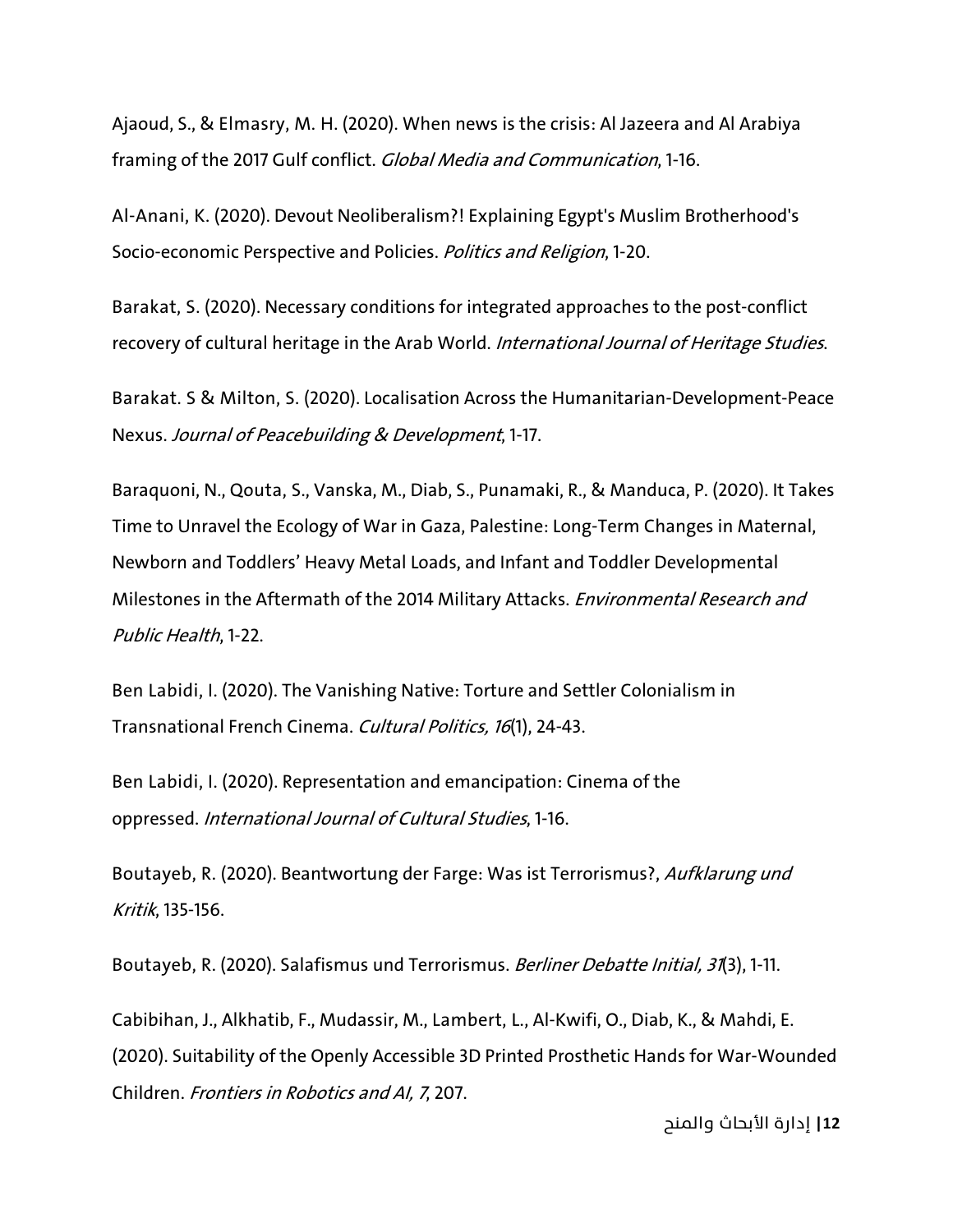Ajaoud, S., & Elmasry, M. H. (2020). When news is the crisis: Al Jazeera and Al Arabiya framing of the 2017 Gulf conflict. Global Media and Communication, 1-16.

Al-Anani, K. (2020). Devout Neoliberalism?! Explaining Egypt's Muslim Brotherhood's Socio-economic Perspective and Policies. Politics and Religion, 1-20.

Barakat, S. (2020). Necessary conditions for integrated approaches to the post-conflict recovery of cultural heritage in the Arab World. International Journal of Heritage Studies.

Barakat. S & Milton, S. (2020). Localisation Across the Humanitarian-Development-Peace Nexus. Journal of Peacebuilding & Development, 1-17.

Baraquoni, N., Qouta, S., Vanska, M., Diab, S., Punamaki, R., & Manduca, P. (2020). It Takes Time to Unravel the Ecology of War in Gaza, Palestine: Long-Term Changes in Maternal, Newborn and Toddlers' Heavy Metal Loads, and Infant and Toddler Developmental Milestones in the Aftermath of the 2014 Military Attacks. Environmental Research and Public Health, 1-22.

Ben Labidi, I. (2020). The Vanishing Native: Torture and Settler Colonialism in Transnational French Cinema. Cultural Politics, 16(1), 24-43.

Ben Labidi, I. (2020). Representation and emancipation: Cinema of the oppressed. International Journal of Cultural Studies, 1-16.

Boutayeb, R. (2020). Beantwortung der Farge: Was ist Terrorismus?, Aufklarung und Kritik, 135-156.

Boutayeb, R. (2020). Salafismus und Terrorismus. Berliner Debatte Initial, 31(3), 1-11.

Cabibihan, J., Alkhatib, F., Mudassir, M., Lambert, L., Al-Kwifi, O., Diab, K., & Mahdi, E. (2020). Suitability of the Openly Accessible 3D Printed Prosthetic Hands for War-Wounded Children. Frontiers in Robotics and AI, 7, 207.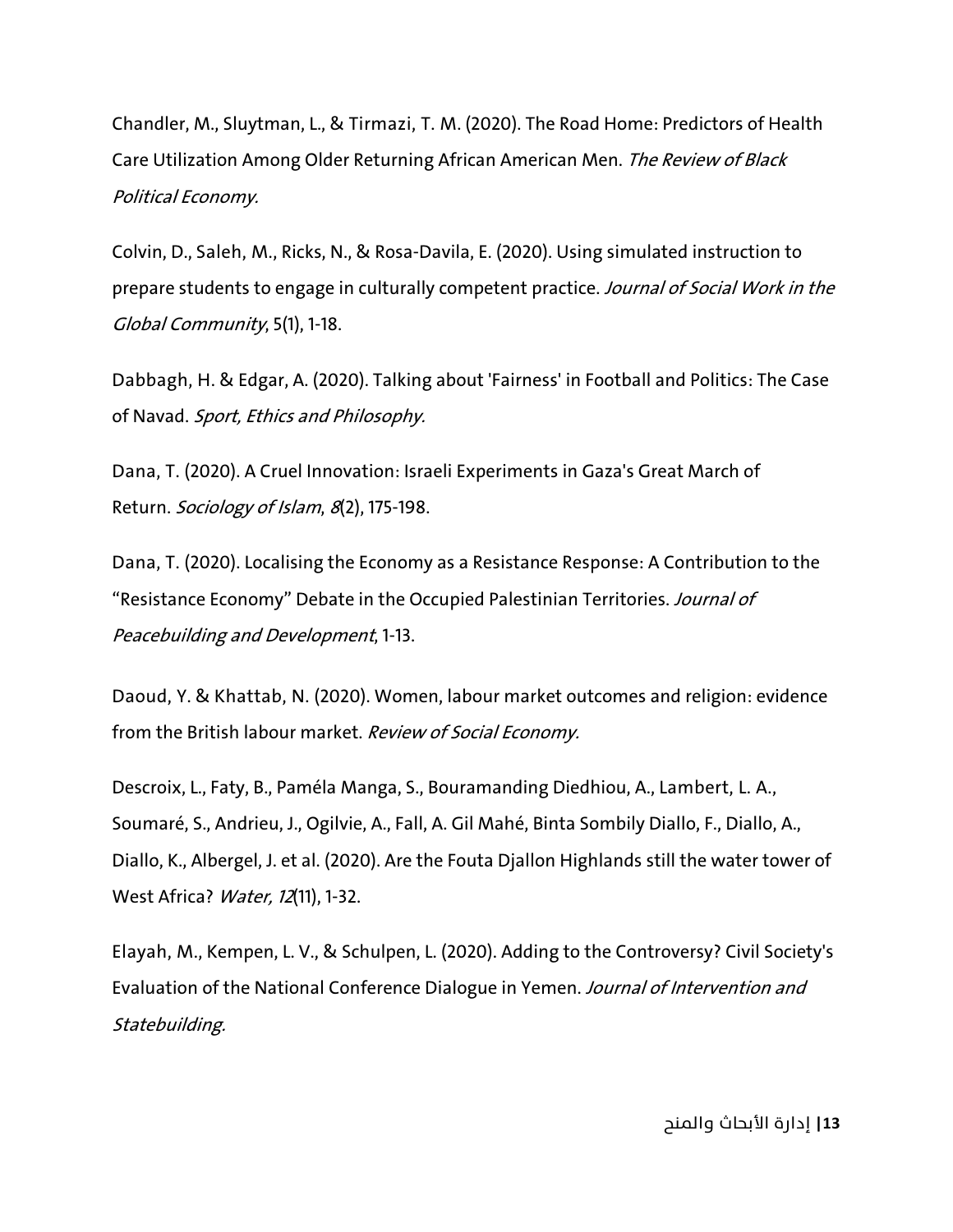Chandler, M., Sluytman, L., & Tirmazi, T. M. (2020). The Road Home: Predictors of Health Care Utilization Among Older Returning African American Men. The Review of Black Political Economy.

Colvin, D., Saleh, M., Ricks, N., & Rosa-Davila, E. (2020). Using simulated instruction to prepare students to engage in culturally competent practice. Journal of Social Work in the Global Community, 5(1), 1-18.

Dabbagh, H. & Edgar, A. (2020). Talking about 'Fairness' in Football and Politics: The Case of Navad. Sport, Ethics and Philosophy.

Dana, T. (2020). A Cruel Innovation: Israeli Experiments in Gaza's Great March of Return. Sociology of Islam, 8(2), 175-198.

Dana, T. (2020). Localising the Economy as a Resistance Response: A Contribution to the "Resistance Economy" Debate in the Occupied Palestinian Territories. Journal of Peacebuilding and Development, 1-13.

Daoud, Y. & Khattab, N. (2020). Women, labour market outcomes and religion: evidence from the British labour market. Review of Social Economy.

Descroix, L., Faty, B., Paméla Manga, S., Bouramanding Diedhiou, A., Lambert, L. A., Soumaré, S., Andrieu, J., Ogilvie, A., Fall, A. Gil Mahé, Binta Sombily Diallo, F., Diallo, A., Diallo, K., Albergel, J. et al. (2020). Are the Fouta Djallon Highlands still the water tower of West Africa? *Water, 12*(11), 1-32.

Elayah, M., Kempen, L. V., & Schulpen, L. (2020). Adding to the Controversy? Civil Society's Evaluation of the National Conference Dialogue in Yemen. Journal of Intervention and Statebuilding.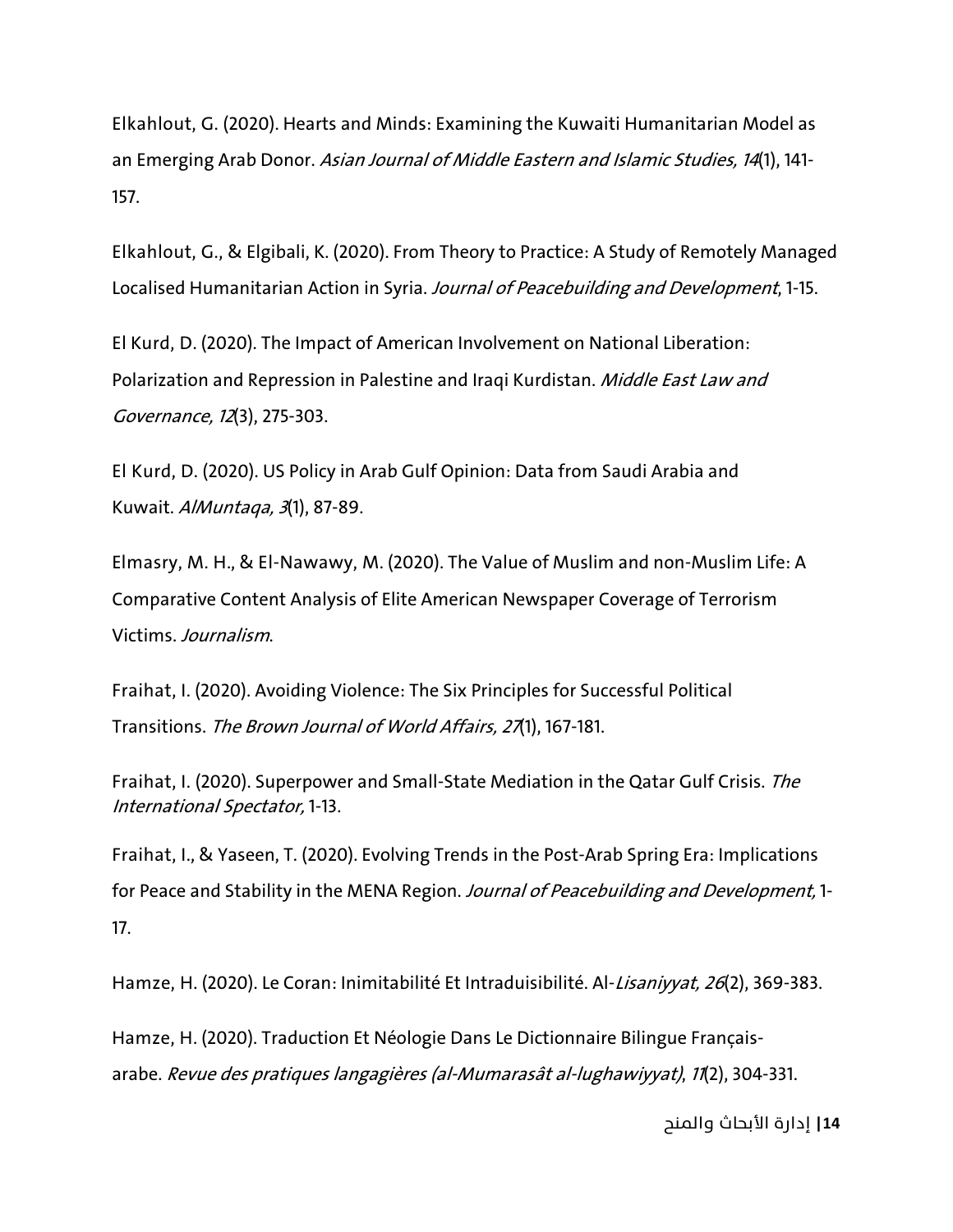Elkahlout, G. (2020). Hearts and Minds: Examining the Kuwaiti Humanitarian Model as an Emerging Arab Donor. Asian Journal of Middle Eastern and Islamic Studies, 14(1), 141-157.

Elkahlout, G., & Elgibali, K. (2020). From Theory to Practice: A Study of Remotely Managed Localised Humanitarian Action in Syria. Journal of Peacebuilding and Development, 1-15.

El Kurd, D. (2020). The Impact of American Involvement on National Liberation: Polarization and Repression in Palestine and Iraqi Kurdistan. Middle East Law and Governance, 12(3), 275-303.

El Kurd, D. (2020). US Policy in Arab Gulf Opinion: Data from Saudi Arabia and Kuwait. AlMuntaqa, 3(1), 87-89.

Elmasry, M. H., & El-Nawawy, M. (2020). The Value of Muslim and non-Muslim Life: A Comparative Content Analysis of Elite American Newspaper Coverage of Terrorism Victims. Journalism.

Fraihat, I. (2020). Avoiding Violence: The Six Principles for Successful Political Transitions. The Brown Journal of World Affairs, <sup>27</sup>(1), 167-181.

Fraihat, I. (2020). Superpower and Small-State Mediation in the Qatar Gulf Crisis. The International Spectator, 1-13.

Fraihat, I., & Yaseen, T. (2020). Evolving Trends in the Post-Arab Spring Era: Implications for Peace and Stability in the MENA Region. Journal of Peacebuilding and Development, 1-17.

Hamze, H. (2020). Le Coran: Inimitabilité Et Intraduisibilité. Al-*Lisaniyyat, 26*(2), 369-383.

Hamze, H. (2020). Traduction Et Néologie Dans Le Dictionnaire Bilingue Françaisarabe. Revue des pratiques langagières (al-Mumarasât al-lughawiyyat), <sup>11</sup>(2), 304-331.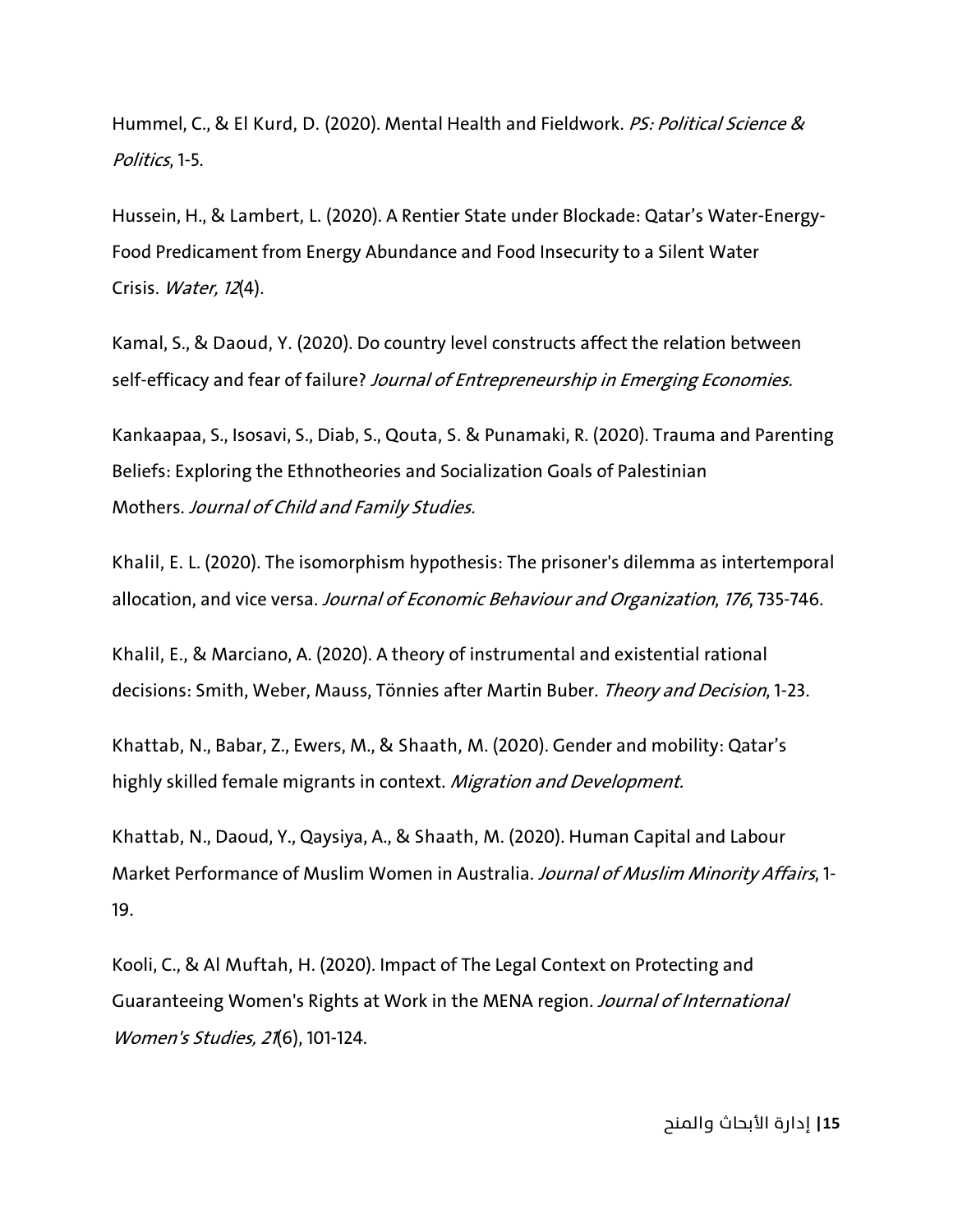Hummel, C., & El Kurd, D. (2020). Mental Health and Fieldwork. PS: Political Science & Politics, 1-5.

Hussein, H., & Lambert, L. (2020). A Rentier State under Blockade: Qatar's Water-Energy-Food Predicament from Energy Abundance and Food Insecurity to a Silent Water Crisis. Water, 12(4).

Kamal, S., & Daoud, Y. (2020). Do country level constructs affect the relation between self-efficacy and fear of failure? Journal of Entrepreneurship in Emerging Economies.

Kankaapaa, S., Isosavi, S., Diab, S., Qouta, S. & Punamaki, R. (2020). Trauma and Parenting Beliefs: Exploring the Ethnotheories and Socialization Goals of Palestinian Mothers. Journal of Child and Family Studies.

Khalil, E. L. (2020). The isomorphism hypothesis: The prisoner's dilemma as intertemporal allocation, and vice versa. Journal of Economic Behaviour and Organization, 176, 735-746.

Khalil, E., & Marciano, A. (2020). A theory of instrumental and existential rational decisions: Smith, Weber, Mauss, Tönnies after Martin Buber. Theory and Decision, 1-23.

Khattab, N., Babar, Z., Ewers, M., & Shaath, M. (2020). Gender and mobility: Qatar's highly skilled female migrants in context. Migration and Development.

Khattab, N., Daoud, Y., Qaysiya, A., & Shaath, M. (2020). Human Capital and Labour Market Performance of Muslim Women in Australia. Journal of Muslim Minority Affairs, 1-19.

Kooli, C., & Al Muftah, H. (2020). Impact of The Legal Context on Protecting and Guaranteeing Women's Rights at Work in the MENA region. Journal of International Women's Studies, 21(6), 101-124.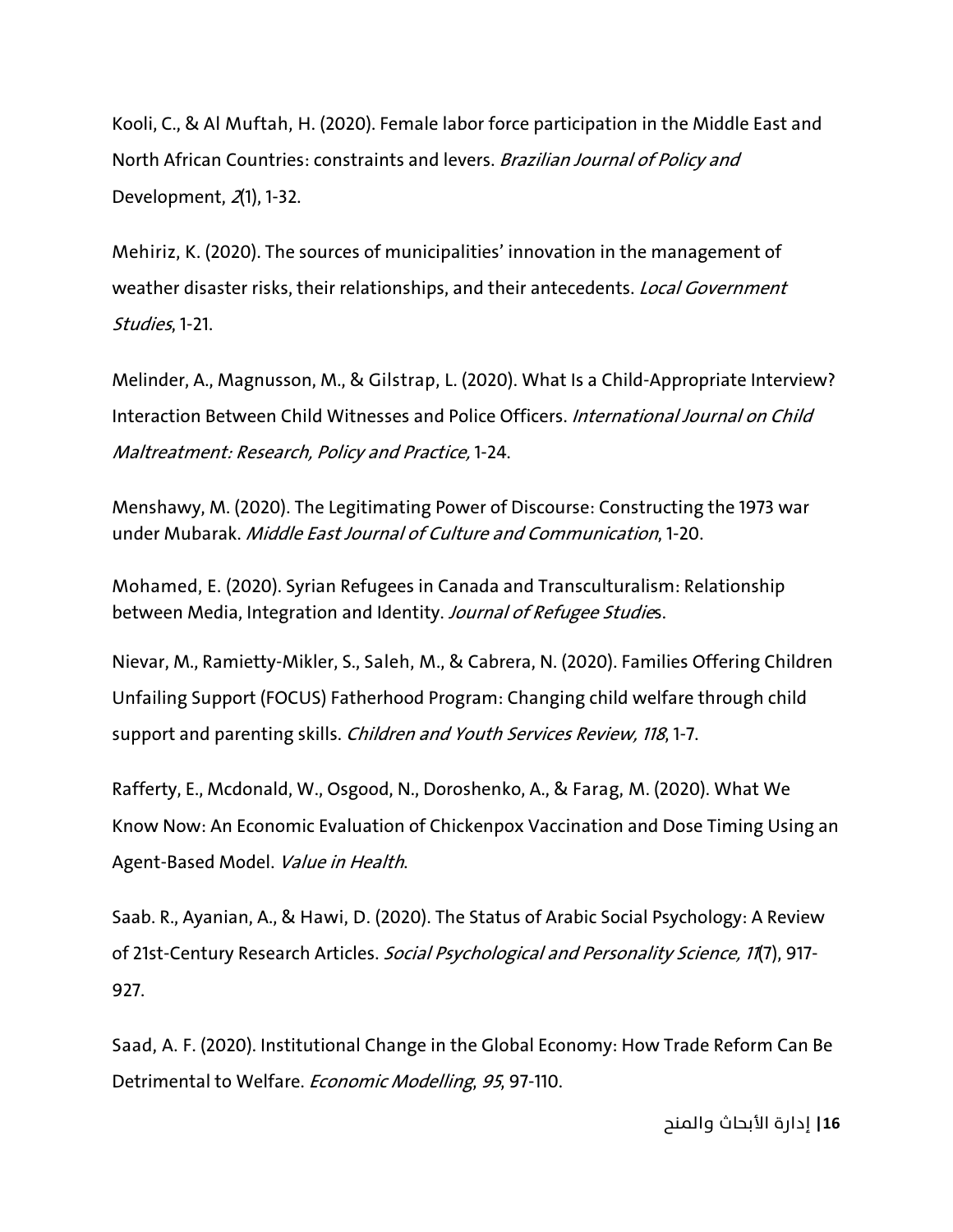Kooli, C., & Al Muftah, H. (2020). Female labor force participation in the Middle East and North African Countries: constraints and levers. Brazilian Journal of Policy and Development, 2(1), 1-32.

Mehiriz, K. (2020). The sources of municipalities' innovation in the management of weather disaster risks, their relationships, and their antecedents. Local Government Studies, 1-21.

Melinder, A., Magnusson, M., & Gilstrap, L. (2020). What Is a Child-Appropriate Interview? Interaction Between Child Witnesses and Police Officers. International Journal on Child Maltreatment: Research, Policy and Practice, 1-24.

Menshawy, M. (2020). The Legitimating Power of Discourse: Constructing the 1973 war under Mubarak. Middle East Journal of Culture and Communication, 1-20.

Mohamed, E. (2020). Syrian Refugees in Canada and Transculturalism: Relationship between Media, Integration and Identity. Journal of Refugee Studies.

Nievar, M., Ramietty-Mikler, S., Saleh, M., & Cabrera, N. (2020). Families Offering Children Unfailing Support (FOCUS) Fatherhood Program: Changing child welfare through child support and parenting skills. Children and Youth Services Review, 118, 1-7.

Rafferty, E., Mcdonald, W., Osgood, N., Doroshenko, A., & Farag, M. (2020). What We Know Now: An Economic Evaluation of Chickenpox Vaccination and Dose Timing Using an Agent-Based Model. Value in Health.

Saab. R., Ayanian, A., & Hawi, D. (2020). The Status of Arabic Social Psychology: A Review of 21st-Century Research Articles. Social Psychological and Personality Science, 11(7), 917-927.

Saad, A. F. (2020). Institutional Change in the Global Economy: How Trade Reform Can Be Detrimental to Welfare. Economic Modelling, <sup>95</sup>, 97-110.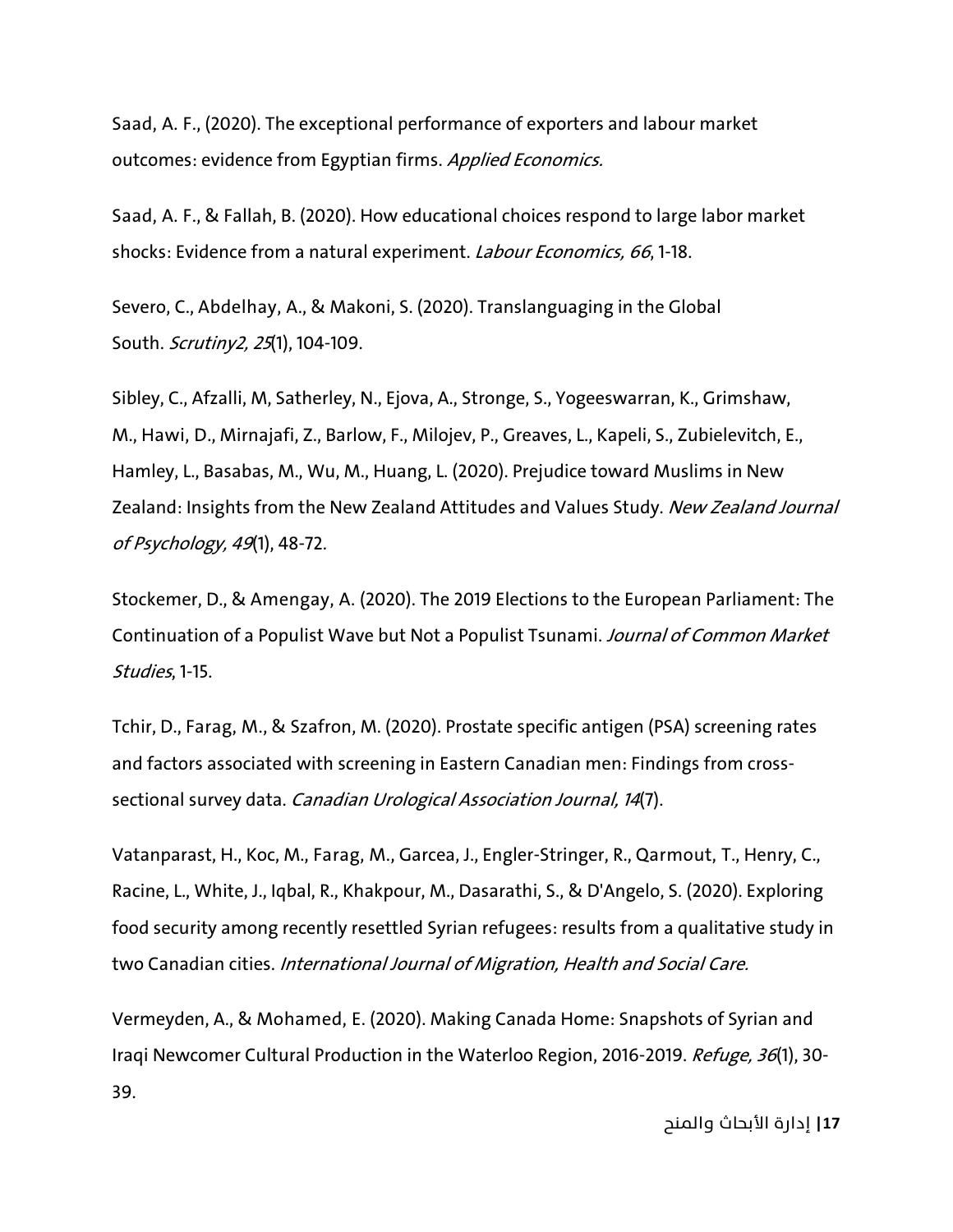Saad, A. F., (2020). The exceptional performance of exporters and labour market outcomes: evidence from Egyptian firms. Applied Economics.

Saad, A. F., & Fallah, B. (2020). How educational choices respond to large labor market shocks: Evidence from a natural experiment. Labour Economics, <sup>66</sup>, 1-18.

Severo, C., Abdelhay, A., & Makoni, S. (2020). Translanguaging in the Global South. Scrutiny2, 25(1), 104-109.

Sibley, C., Afzalli, M, Satherley, N., Ejova, A., Stronge, S., Yogeeswarran, K., Grimshaw, M., Hawi, D., Mirnajafi, Z., Barlow, F., Milojev, P., Greaves, L., Kapeli, S., Zubielevitch, E., Hamley, L., Basabas, M., Wu, M., Huang, L. (2020). Prejudice toward Muslims in New Zealand: Insights from the New Zealand Attitudes and Values Study. New Zealand Journal of Psychology, 49(1), 48-72.

Stockemer, D., & Amengay, A. (2020). The 2019 Elections to the European Parliament: The Continuation of a Populist Wave but Not a Populist Tsunami. Journal of Common Market Studies, 1-15.

Tchir, D., Farag, M., & Szafron, M. (2020). Prostate specific antigen (PSA) screening rates and factors associated with screening in Eastern Canadian men: Findings from crosssectional survey data. Canadian Urological Association Journal, 14(7).

Vatanparast, H., Koc, M., Farag, M., Garcea, J., Engler-Stringer, R., Qarmout, T., Henry, C., Racine, L., White, J., Iqbal, R., Khakpour, M., Dasarathi, S., & D'Angelo, S. (2020). Exploring food security among recently resettled Syrian refugees: results from a qualitative study in two Canadian cities. International Journal of Migration, Health and Social Care.

Vermeyden, A., & Mohamed, E. (2020). Making Canada Home: Snapshots of Syrian and Iraqi Newcomer Cultural Production in the Waterloo Region, 2016-2019. Refuge, 36(1), 30-39.